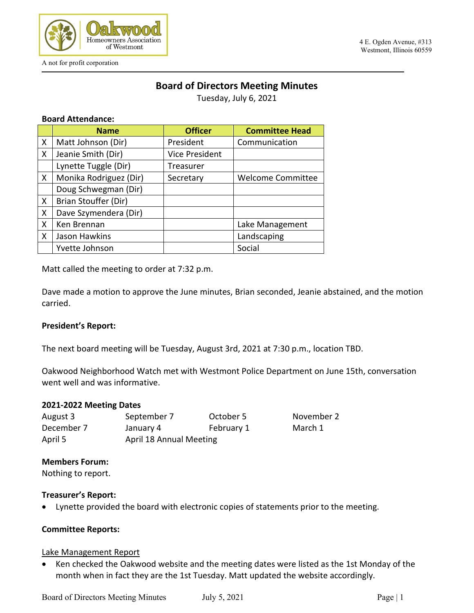

A not for profit corporation

#### 4 E. Ogden Avenue, #313 Westmont, Illinois 60559

# **Board of Directors Meeting Minutes**

Tuesday, July 6, 2021

#### **Board Attendance:**

|   | <b>Name</b>            | <b>Officer</b>        | <b>Committee Head</b>    |
|---|------------------------|-----------------------|--------------------------|
| X | Matt Johnson (Dir)     | President             | Communication            |
| X | Jeanie Smith (Dir)     | <b>Vice President</b> |                          |
|   | Lynette Tuggle (Dir)   | Treasurer             |                          |
| X | Monika Rodriguez (Dir) | Secretary             | <b>Welcome Committee</b> |
|   | Doug Schwegman (Dir)   |                       |                          |
| X | Brian Stouffer (Dir)   |                       |                          |
| X | Dave Szymendera (Dir)  |                       |                          |
| X | Ken Brennan            |                       | Lake Management          |
| X | Jason Hawkins          |                       | Landscaping              |
|   | Yvette Johnson         |                       | Social                   |

Matt called the meeting to order at 7:32 p.m.

Dave made a motion to approve the June minutes, Brian seconded, Jeanie abstained, and the motion carried.

#### **President's Report:**

The next board meeting will be Tuesday, August 3rd, 2021 at 7:30 p.m., location TBD.

Oakwood Neighborhood Watch met with Westmont Police Department on June 15th, conversation went well and was informative.

#### **2021-2022 Meeting Dates**

| August 3   | September 7             | October 5  | Novemb  |
|------------|-------------------------|------------|---------|
| December 7 | January 4               | February 1 | March 1 |
| April 5    | April 18 Annual Meeting |            |         |

November 2

#### **Members Forum:**

Nothing to report.

#### **Treasurer's Report:**

• Lynette provided the board with electronic copies of statements prior to the meeting.

### **Committee Reports:**

#### Lake Management Report

• Ken checked the Oakwood website and the meeting dates were listed as the 1st Monday of the month when in fact they are the 1st Tuesday. Matt updated the website accordingly.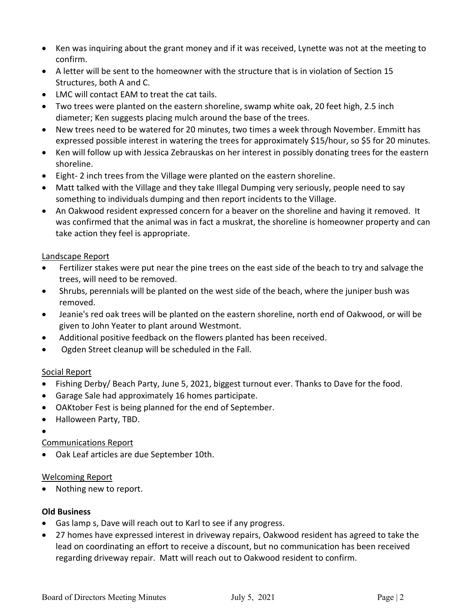- Ken was inquiring about the grant money and if it was received, Lynette was not at the meeting to confirm.
- A letter will be sent to the homeowner with the structure that is in violation of Section 15 Structures, both A and C.
- LMC will contact EAM to treat the cat tails.
- Two trees were planted on the eastern shoreline, swamp white oak, 20 feet high, 2.5 inch diameter; Ken suggests placing mulch around the base of the trees.
- New trees need to be watered for 20 minutes, two times a week through November. Emmitt has expressed possible interest in watering the trees for approximately \$15/hour, so \$5 for 20 minutes.
- Ken will follow up with Jessica Zebrauskas on her interest in possibly donating trees for the eastern shoreline.
- Eight- 2 inch trees from the Village were planted on the eastern shoreline.
- Matt talked with the Village and they take Illegal Dumping very seriously, people need to say something to individuals dumping and then report incidents to the Village.
- An Oakwood resident expressed concern for a beaver on the shoreline and having it removed. It was confirmed that the animal was in fact a muskrat, the shoreline is homeowner property and can take action they feel is appropriate.

## Landscape Report

- Fertilizer stakes were put near the pine trees on the east side of the beach to try and salvage the trees, will need to be removed.
- Shrubs, perennials will be planted on the west side of the beach, where the juniper bush was removed.
- Jeanie's red oak trees will be planted on the eastern shoreline, north end of Oakwood, or will be given to John Yeater to plant around Westmont.
- Additional positive feedback on the flowers planted has been received.
- Ogden Street cleanup will be scheduled in the Fall.

## Social Report

- Fishing Derby/ Beach Party, June 5, 2021, biggest turnout ever. Thanks to Dave for the food.
- Garage Sale had approximately 16 homes participate.
- OAKtober Fest is being planned for the end of September.
- Halloween Party, TBD.
- •

## Communications Report

• Oak Leaf articles are due September 10th.

## Welcoming Report

• Nothing new to report.

## **Old Business**

- Gas lamp s, Dave will reach out to Karl to see if any progress.
- 27 homes have expressed interest in driveway repairs, Oakwood resident has agreed to take the lead on coordinating an effort to receive a discount, but no communication has been received regarding driveway repair. Matt will reach out to Oakwood resident to confirm.